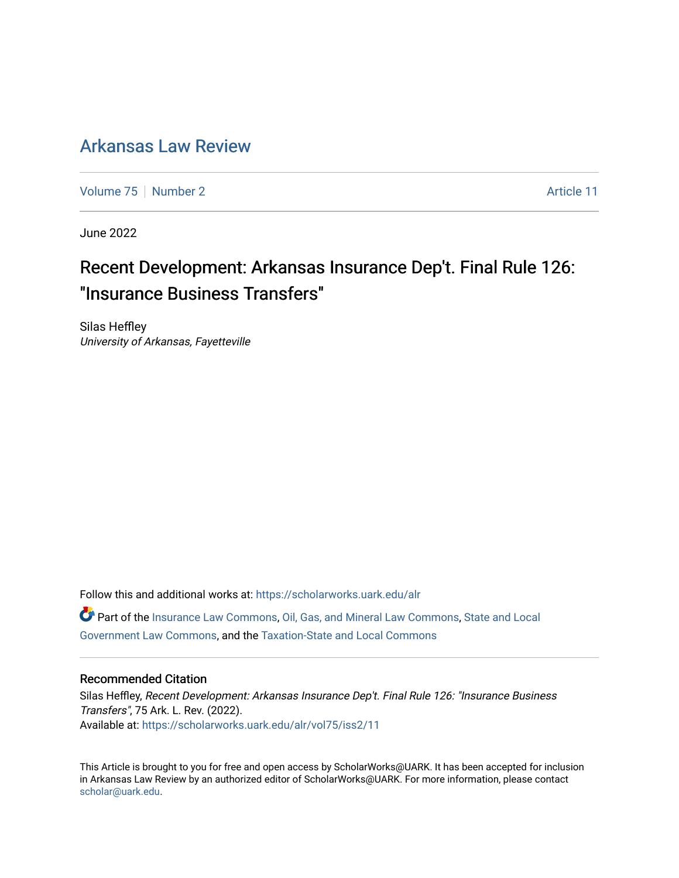# [Arkansas Law Review](https://scholarworks.uark.edu/alr)

[Volume 75](https://scholarworks.uark.edu/alr/vol75) [Number 2](https://scholarworks.uark.edu/alr/vol75/iss2) Article 11

June 2022

# Recent Development: Arkansas Insurance Dep't. Final Rule 126: "Insurance Business Transfers"

Silas Heffley University of Arkansas, Fayetteville

Follow this and additional works at: [https://scholarworks.uark.edu/alr](https://scholarworks.uark.edu/alr?utm_source=scholarworks.uark.edu%2Falr%2Fvol75%2Fiss2%2F11&utm_medium=PDF&utm_campaign=PDFCoverPages)  Part of the [Insurance Law Commons](https://network.bepress.com/hgg/discipline/607?utm_source=scholarworks.uark.edu%2Falr%2Fvol75%2Fiss2%2F11&utm_medium=PDF&utm_campaign=PDFCoverPages), [Oil, Gas, and Mineral Law Commons](https://network.bepress.com/hgg/discipline/864?utm_source=scholarworks.uark.edu%2Falr%2Fvol75%2Fiss2%2F11&utm_medium=PDF&utm_campaign=PDFCoverPages), [State and Local](https://network.bepress.com/hgg/discipline/879?utm_source=scholarworks.uark.edu%2Falr%2Fvol75%2Fiss2%2F11&utm_medium=PDF&utm_campaign=PDFCoverPages)  [Government Law Commons,](https://network.bepress.com/hgg/discipline/879?utm_source=scholarworks.uark.edu%2Falr%2Fvol75%2Fiss2%2F11&utm_medium=PDF&utm_campaign=PDFCoverPages) and the [Taxation-State and Local Commons](https://network.bepress.com/hgg/discipline/882?utm_source=scholarworks.uark.edu%2Falr%2Fvol75%2Fiss2%2F11&utm_medium=PDF&utm_campaign=PDFCoverPages)

#### Recommended Citation

Silas Heffley, Recent Development: Arkansas Insurance Dep't. Final Rule 126: "Insurance Business Transfers", 75 Ark. L. Rev. (2022). Available at: [https://scholarworks.uark.edu/alr/vol75/iss2/11](https://scholarworks.uark.edu/alr/vol75/iss2/11?utm_source=scholarworks.uark.edu%2Falr%2Fvol75%2Fiss2%2F11&utm_medium=PDF&utm_campaign=PDFCoverPages) 

This Article is brought to you for free and open access by ScholarWorks@UARK. It has been accepted for inclusion in Arkansas Law Review by an authorized editor of ScholarWorks@UARK. For more information, please contact [scholar@uark.edu](mailto:scholar@uark.edu).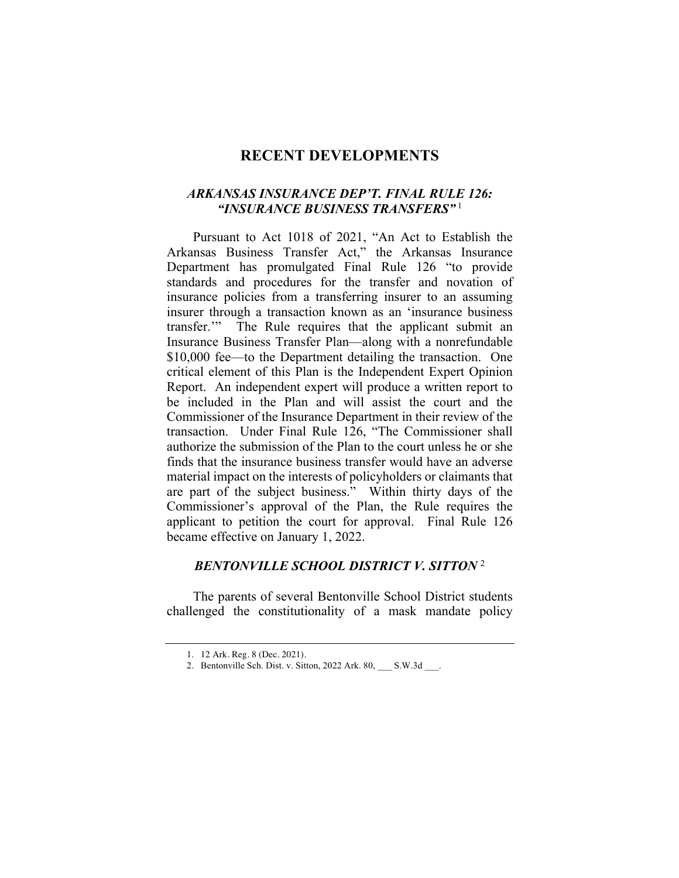## **RECENT DEVELOPMENTS**

#### *ARKANSAS INSURANCE DEP'T. FINAL RULE 126: "INSURANCE BUSINESS TRANSFERS"* <sup>1</sup>

Pursuant to Act 1018 of 2021, "An Act to Establish the Arkansas Business Transfer Act," the Arkansas Insurance Department has promulgated Final Rule 126 "to provide standards and procedures for the transfer and novation of insurance policies from a transferring insurer to an assuming insurer through a transaction known as an 'insurance business transfer.'" The Rule requires that the applicant submit an Insurance Business Transfer Plan—along with a nonrefundable \$10,000 fee—to the Department detailing the transaction. One critical element of this Plan is the Independent Expert Opinion Report. An independent expert will produce a written report to be included in the Plan and will assist the court and the Commissioner of the Insurance Department in their review of the transaction. Under Final Rule 126, "The Commissioner shall authorize the submission of the Plan to the court unless he or she finds that the insurance business transfer would have an adverse material impact on the interests of policyholders or claimants that are part of the subject business." Within thirty days of the Commissioner's approval of the Plan, the Rule requires the applicant to petition the court for approval. Final Rule 126 became effective on January 1, 2022.

#### *BENTONVILLE SCHOOL DISTRICT V. SITTON* <sup>2</sup>

The parents of several Bentonville School District students challenged the constitutionality of a mask mandate policy

<sup>1.</sup> 12 Ark. Reg. 8 (Dec. 2021).

<sup>2.</sup> Bentonville Sch. Dist. v. Sitton, 2022 Ark. 80, \_\_\_ S.W.3d \_\_\_.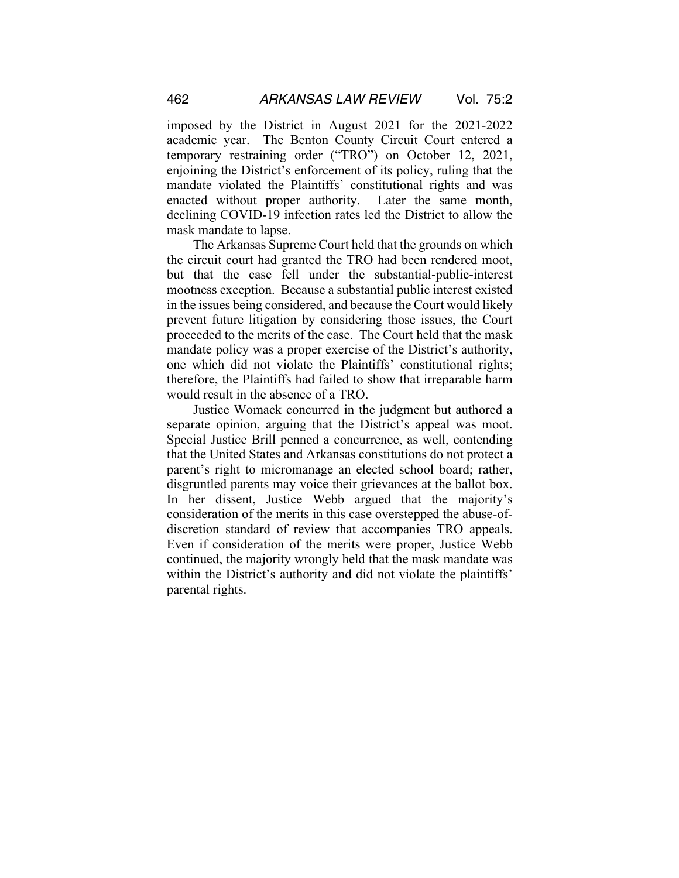imposed by the District in August 2021 for the 2021-2022 academic year. The Benton County Circuit Court entered a temporary restraining order ("TRO") on October 12, 2021, enjoining the District's enforcement of its policy, ruling that the mandate violated the Plaintiffs' constitutional rights and was enacted without proper authority. Later the same month, declining COVID-19 infection rates led the District to allow the mask mandate to lapse.

The Arkansas Supreme Court held that the grounds on which the circuit court had granted the TRO had been rendered moot, but that the case fell under the substantial-public-interest mootness exception. Because a substantial public interest existed in the issues being considered, and because the Court would likely prevent future litigation by considering those issues, the Court proceeded to the merits of the case. The Court held that the mask mandate policy was a proper exercise of the District's authority, one which did not violate the Plaintiffs' constitutional rights; therefore, the Plaintiffs had failed to show that irreparable harm would result in the absence of a TRO.

Justice Womack concurred in the judgment but authored a separate opinion, arguing that the District's appeal was moot. Special Justice Brill penned a concurrence, as well, contending that the United States and Arkansas constitutions do not protect a parent's right to micromanage an elected school board; rather, disgruntled parents may voice their grievances at the ballot box. In her dissent, Justice Webb argued that the majority's consideration of the merits in this case overstepped the abuse-ofdiscretion standard of review that accompanies TRO appeals. Even if consideration of the merits were proper, Justice Webb continued, the majority wrongly held that the mask mandate was within the District's authority and did not violate the plaintiffs' parental rights.